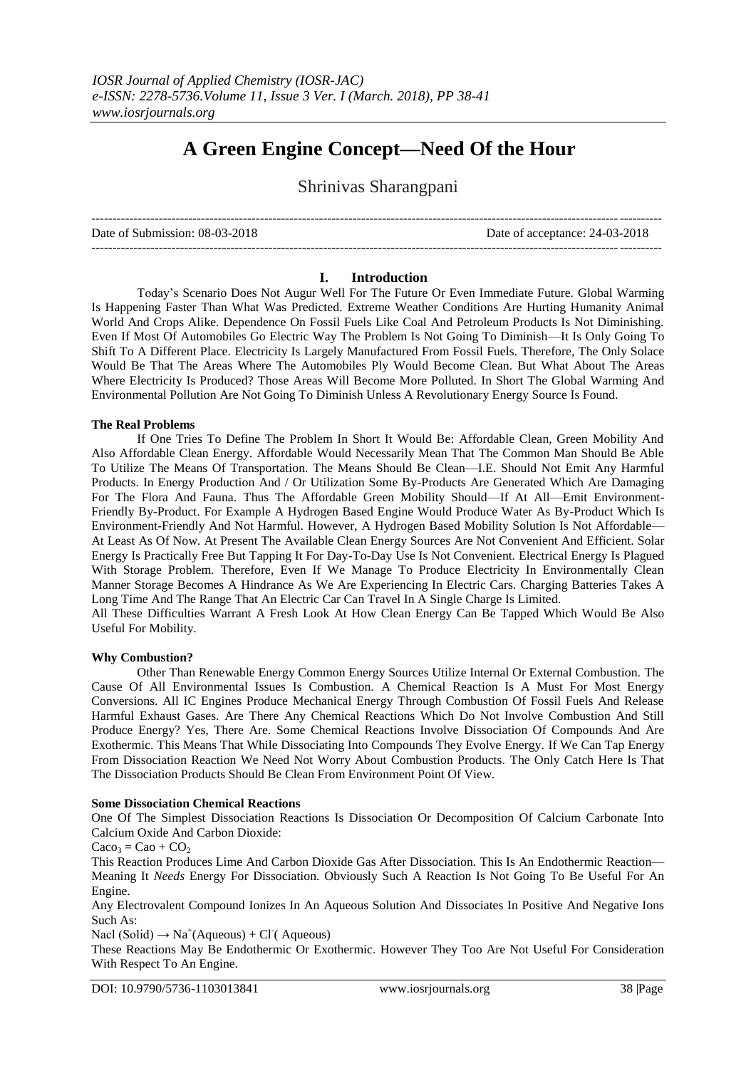# **A Green Engine Concept—Need Of the Hour**

Shrinivas Sharangpani

Date of Submission: 08-03-2018 Date of acceptance: 24-03-2018

---------------------------------------------------------------------------------------------------------------------------------------

---------------------------------------------------------------------------------------------------------------------------------------

## **I. Introduction**

Today's Scenario Does Not Augur Well For The Future Or Even Immediate Future. Global Warming Is Happening Faster Than What Was Predicted. Extreme Weather Conditions Are Hurting Humanity Animal World And Crops Alike. Dependence On Fossil Fuels Like Coal And Petroleum Products Is Not Diminishing. Even If Most Of Automobiles Go Electric Way The Problem Is Not Going To Diminish—It Is Only Going To Shift To A Different Place. Electricity Is Largely Manufactured From Fossil Fuels. Therefore, The Only Solace Would Be That The Areas Where The Automobiles Ply Would Become Clean. But What About The Areas Where Electricity Is Produced? Those Areas Will Become More Polluted. In Short The Global Warming And Environmental Pollution Are Not Going To Diminish Unless A Revolutionary Energy Source Is Found.

# **The Real Problems**

If One Tries To Define The Problem In Short It Would Be: Affordable Clean, Green Mobility And Also Affordable Clean Energy. Affordable Would Necessarily Mean That The Common Man Should Be Able To Utilize The Means Of Transportation. The Means Should Be Clean—I.E. Should Not Emit Any Harmful Products. In Energy Production And / Or Utilization Some By-Products Are Generated Which Are Damaging For The Flora And Fauna. Thus The Affordable Green Mobility Should—If At All—Emit Environment-Friendly By-Product. For Example A Hydrogen Based Engine Would Produce Water As By-Product Which Is Environment-Friendly And Not Harmful. However, A Hydrogen Based Mobility Solution Is Not Affordable— At Least As Of Now. At Present The Available Clean Energy Sources Are Not Convenient And Efficient. Solar Energy Is Practically Free But Tapping It For Day-To-Day Use Is Not Convenient. Electrical Energy Is Plagued With Storage Problem. Therefore, Even If We Manage To Produce Electricity In Environmentally Clean Manner Storage Becomes A Hindrance As We Are Experiencing In Electric Cars. Charging Batteries Takes A Long Time And The Range That An Electric Car Can Travel In A Single Charge Is Limited.

All These Difficulties Warrant A Fresh Look At How Clean Energy Can Be Tapped Which Would Be Also Useful For Mobility.

## **Why Combustion?**

Other Than Renewable Energy Common Energy Sources Utilize Internal Or External Combustion. The Cause Of All Environmental Issues Is Combustion. A Chemical Reaction Is A Must For Most Energy Conversions. All IC Engines Produce Mechanical Energy Through Combustion Of Fossil Fuels And Release Harmful Exhaust Gases. Are There Any Chemical Reactions Which Do Not Involve Combustion And Still Produce Energy? Yes, There Are. Some Chemical Reactions Involve Dissociation Of Compounds And Are Exothermic. This Means That While Dissociating Into Compounds They Evolve Energy. If We Can Tap Energy From Dissociation Reaction We Need Not Worry About Combustion Products. The Only Catch Here Is That The Dissociation Products Should Be Clean From Environment Point Of View.

#### **Some Dissociation Chemical Reactions**

One Of The Simplest Dissociation Reactions Is Dissociation Or Decomposition Of Calcium Carbonate Into Calcium Oxide And Carbon Dioxide:

 $Caco_3 = Cao + CO<sub>2</sub>$ 

This Reaction Produces Lime And Carbon Dioxide Gas After Dissociation. This Is An Endothermic Reaction— Meaning It *Needs* Energy For Dissociation. Obviously Such A Reaction Is Not Going To Be Useful For An Engine.

Any Electrovalent Compound Ionizes In An Aqueous Solution And Dissociates In Positive And Negative Ions Such As:

Nacl (Solid)  $\rightarrow$  Na<sup>+</sup>(Aqueous) + Cl (Aqueous)

These Reactions May Be Endothermic Or Exothermic. However They Too Are Not Useful For Consideration With Respect To An Engine.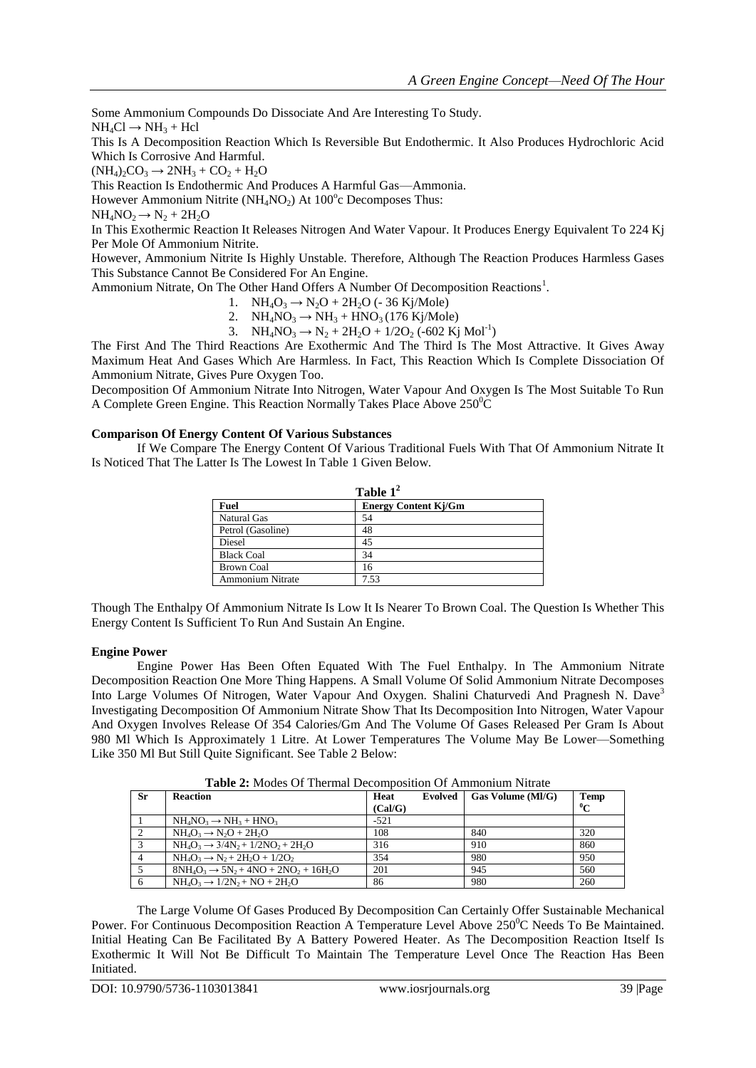Some Ammonium Compounds Do Dissociate And Are Interesting To Study.  $NH<sub>4</sub>Cl \rightarrow NH<sub>3</sub> + Hcl$ 

This Is A Decomposition Reaction Which Is Reversible But Endothermic. It Also Produces Hydrochloric Acid Which Is Corrosive And Harmful.

 $(NH_4)_2CO_3 \rightarrow 2NH_3 + CO_2 + H_2O$ 

This Reaction Is Endothermic And Produces A Harmful Gas—Ammonia.

However Ammonium Nitrite ( $NH<sub>4</sub>NO<sub>2</sub>$ ) At 100 $^{\circ}$ c Decomposes Thus:

 $NH<sub>4</sub>NO<sub>2</sub> \rightarrow N<sub>2</sub> + 2H<sub>2</sub>O$ 

In This Exothermic Reaction It Releases Nitrogen And Water Vapour. It Produces Energy Equivalent To 224 Kj Per Mole Of Ammonium Nitrite.

However, Ammonium Nitrite Is Highly Unstable. Therefore, Although The Reaction Produces Harmless Gases This Substance Cannot Be Considered For An Engine.

Ammonium Nitrate, On The Other Hand Offers A Number Of Decomposition Reactions<sup>1</sup>.

- 1.  $NH_4O_3 \rightarrow N_2O + 2H_2O$  (- 36 Ki/Mole)
- 2.  $NH_4NO_3 \rightarrow NH_3 + HNO_3 (176 \text{ Kj/Mole})$

3. NH<sub>4</sub>NO<sub>3</sub>  $\rightarrow$  N<sub>2</sub> + 2H<sub>2</sub>O + 1/2O<sub>2</sub> (-602 Kj Mol<sup>-1</sup>)

The First And The Third Reactions Are Exothermic And The Third Is The Most Attractive. It Gives Away Maximum Heat And Gases Which Are Harmless. In Fact, This Reaction Which Is Complete Dissociation Of Ammonium Nitrate, Gives Pure Oxygen Too.

Decomposition Of Ammonium Nitrate Into Nitrogen, Water Vapour And Oxygen Is The Most Suitable To Run A Complete Green Engine. This Reaction Normally Takes Place Above 250°C

# **Comparison Of Energy Content Of Various Substances**

If We Compare The Energy Content Of Various Traditional Fuels With That Of Ammonium Nitrate It Is Noticed That The Latter Is The Lowest In Table 1 Given Below.

| Table $1^2$             |                             |  |  |  |
|-------------------------|-----------------------------|--|--|--|
| <b>Fuel</b>             | <b>Energy Content Kj/Gm</b> |  |  |  |
| <b>Natural Gas</b>      | 54                          |  |  |  |
| Petrol (Gasoline)       | 48                          |  |  |  |
| Diesel                  | 45                          |  |  |  |
| <b>Black Coal</b>       | 34                          |  |  |  |
| <b>Brown Coal</b>       | 16                          |  |  |  |
| <b>Ammonium Nitrate</b> | 7.53                        |  |  |  |

Though The Enthalpy Of Ammonium Nitrate Is Low It Is Nearer To Brown Coal. The Question Is Whether This Energy Content Is Sufficient To Run And Sustain An Engine.

## **Engine Power**

Engine Power Has Been Often Equated With The Fuel Enthalpy. In The Ammonium Nitrate Decomposition Reaction One More Thing Happens. A Small Volume Of Solid Ammonium Nitrate Decomposes Into Large Volumes Of Nitrogen, Water Vapour And Oxygen. Shalini Chaturvedi And Pragnesh N. Dave<sup>3</sup> Investigating Decomposition Of Ammonium Nitrate Show That Its Decomposition Into Nitrogen, Water Vapour And Oxygen Involves Release Of 354 Calories/Gm And The Volume Of Gases Released Per Gram Is About 980 Ml Which Is Approximately 1 Litre. At Lower Temperatures The Volume May Be Lower—Something Like 350 Ml But Still Quite Significant. See Table 2 Below:

| $\mathbf{1}_{\mathbf{u}}$ and $\mathbf{u}$ is a set of $\mathbf{u}$ internal proportion of Thinnon and Thinks |                                                    |                 |         |                          |                     |  |  |  |
|---------------------------------------------------------------------------------------------------------------|----------------------------------------------------|-----------------|---------|--------------------------|---------------------|--|--|--|
| <b>Sr</b>                                                                                                     | <b>Reaction</b>                                    | Heat<br>(Cal/G) | Evolved | $\Box$ Gas Volume (MI/G) | Temp<br>$\rm ^{0}C$ |  |  |  |
|                                                                                                               | $NH_4NO_3 \rightarrow NH_3 + HNO_3$                | $-521$          |         |                          |                     |  |  |  |
| $\bigcap$                                                                                                     | $NH_4O_3 \rightarrow N_2O + 2H_2O$                 | 108             |         | 840                      | 320                 |  |  |  |
| $\mathbf{\Omega}$                                                                                             | $NH_4O_3 \rightarrow 3/4N_2 + 1/2NO_2 + 2H_2O$     | 316             |         | 910                      | 860                 |  |  |  |
|                                                                                                               | $NH_4O_3 \rightarrow N_2 + 2H_2O + 1/2O_2$         | 354             |         | 980                      | 950                 |  |  |  |
|                                                                                                               | $8NH_4O_3 \rightarrow 5N_2 + 4NO + 2NO_2 + 16H_2O$ | 201             |         | 945                      | 560                 |  |  |  |
|                                                                                                               | $NH_4O_3 \rightarrow 1/2N_2 + NO + 2H_2O$          | 86              |         | 980                      | 260                 |  |  |  |

**Table 2:** Modes Of Thermal Decomposition Of Ammonium Nitrate

The Large Volume Of Gases Produced By Decomposition Can Certainly Offer Sustainable Mechanical Power. For Continuous Decomposition Reaction A Temperature Level Above  $250^{\circ}$ C Needs To Be Maintained. Initial Heating Can Be Facilitated By A Battery Powered Heater. As The Decomposition Reaction Itself Is Exothermic It Will Not Be Difficult To Maintain The Temperature Level Once The Reaction Has Been Initiated.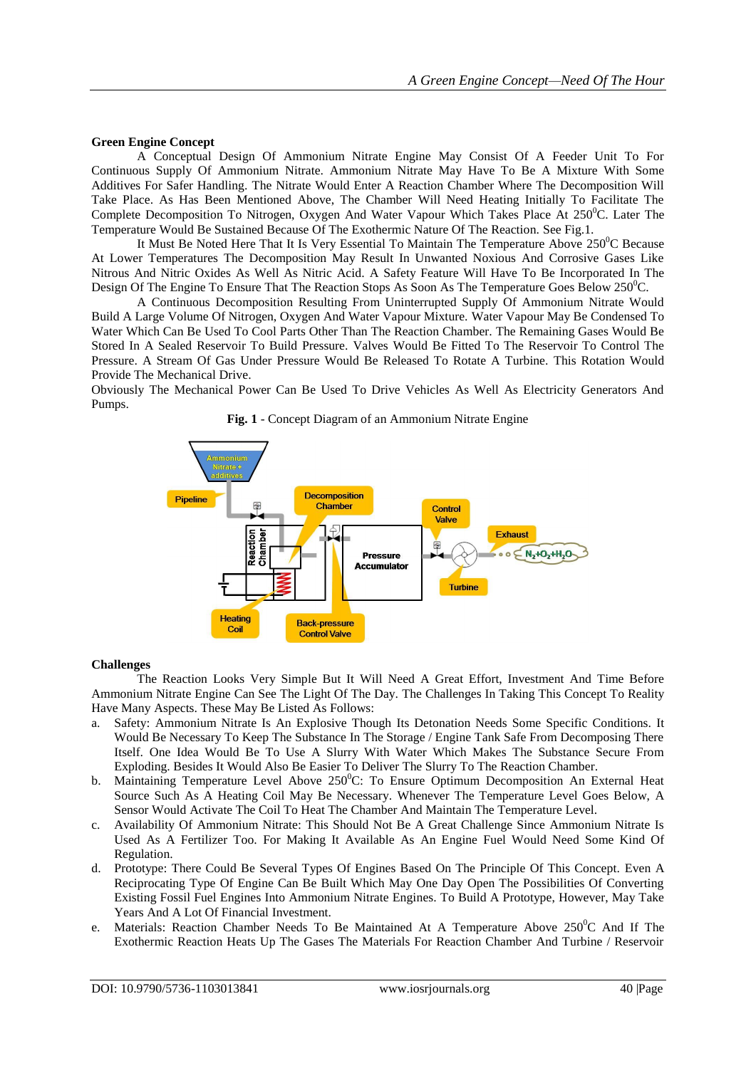#### **Green Engine Concept**

A Conceptual Design Of Ammonium Nitrate Engine May Consist Of A Feeder Unit To For Continuous Supply Of Ammonium Nitrate. Ammonium Nitrate May Have To Be A Mixture With Some Additives For Safer Handling. The Nitrate Would Enter A Reaction Chamber Where The Decomposition Will Take Place. As Has Been Mentioned Above, The Chamber Will Need Heating Initially To Facilitate The Complete Decomposition To Nitrogen, Oxygen And Water Vapour Which Takes Place At  $250^{\circ}$ C. Later The Temperature Would Be Sustained Because Of The Exothermic Nature Of The Reaction. See Fig.1.

It Must Be Noted Here That It Is Very Essential To Maintain The Temperature Above  $250^{\circ}$ C Because At Lower Temperatures The Decomposition May Result In Unwanted Noxious And Corrosive Gases Like Nitrous And Nitric Oxides As Well As Nitric Acid. A Safety Feature Will Have To Be Incorporated In The Design Of The Engine To Ensure That The Reaction Stops As Soon As The Temperature Goes Below  $250^{\circ}$ C.

A Continuous Decomposition Resulting From Uninterrupted Supply Of Ammonium Nitrate Would Build A Large Volume Of Nitrogen, Oxygen And Water Vapour Mixture. Water Vapour May Be Condensed To Water Which Can Be Used To Cool Parts Other Than The Reaction Chamber. The Remaining Gases Would Be Stored In A Sealed Reservoir To Build Pressure. Valves Would Be Fitted To The Reservoir To Control The Pressure. A Stream Of Gas Under Pressure Would Be Released To Rotate A Turbine. This Rotation Would Provide The Mechanical Drive.

Obviously The Mechanical Power Can Be Used To Drive Vehicles As Well As Electricity Generators And Pumps.

**Fig. 1** - Concept Diagram of an Ammonium Nitrate Engine



#### **Challenges**

The Reaction Looks Very Simple But It Will Need A Great Effort, Investment And Time Before Ammonium Nitrate Engine Can See The Light Of The Day. The Challenges In Taking This Concept To Reality Have Many Aspects. These May Be Listed As Follows:

- a. Safety: Ammonium Nitrate Is An Explosive Though Its Detonation Needs Some Specific Conditions. It Would Be Necessary To Keep The Substance In The Storage / Engine Tank Safe From Decomposing There Itself. One Idea Would Be To Use A Slurry With Water Which Makes The Substance Secure From Exploding. Besides It Would Also Be Easier To Deliver The Slurry To The Reaction Chamber.
- b. Maintaining Temperature Level Above  $250^{\circ}$ C: To Ensure Optimum Decomposition An External Heat Source Such As A Heating Coil May Be Necessary. Whenever The Temperature Level Goes Below, A Sensor Would Activate The Coil To Heat The Chamber And Maintain The Temperature Level.
- c. Availability Of Ammonium Nitrate: This Should Not Be A Great Challenge Since Ammonium Nitrate Is Used As A Fertilizer Too. For Making It Available As An Engine Fuel Would Need Some Kind Of Regulation.
- d. Prototype: There Could Be Several Types Of Engines Based On The Principle Of This Concept. Even A Reciprocating Type Of Engine Can Be Built Which May One Day Open The Possibilities Of Converting Existing Fossil Fuel Engines Into Ammonium Nitrate Engines. To Build A Prototype, However, May Take Years And A Lot Of Financial Investment.
- e. Materials: Reaction Chamber Needs To Be Maintained At A Temperature Above  $250^{\circ}$ C And If The Exothermic Reaction Heats Up The Gases The Materials For Reaction Chamber And Turbine / Reservoir